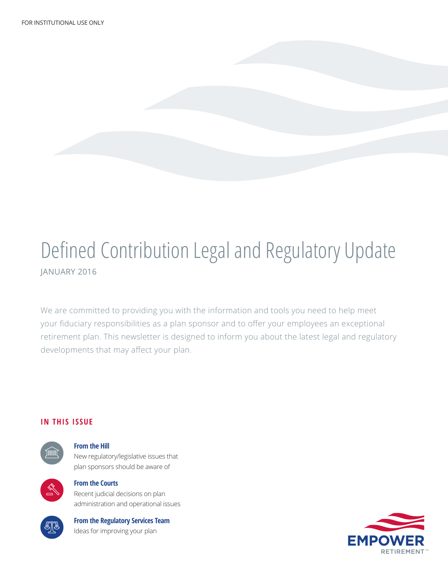### Defined Contribution Legal and Regulatory Update JANUARY 2016

We are committed to providing you with the information and tools you need to help meet your fiduciary responsibilities as a plan sponsor and to offer your employees an exceptional retirement plan. This newsletter is designed to inform you about the latest legal and regulatory developments that may affect your plan.

#### **IN THIS ISSUE**



#### **From the Hill**

New regulatory/legislative issues that plan sponsors should be aware of



#### **From the Courts**

Recent judicial decisions on plan administration and operational issues



### **From the Regulatory Services Team**

Ideas for improving your plan

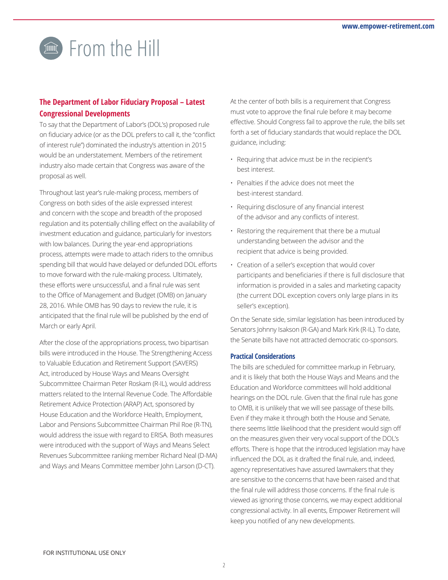### **From the Hill**

#### **The Department of Labor Fiduciary Proposal – Latest Congressional Developments**

To say that the Department of Labor's (DOL's) proposed rule on fiduciary advice (or as the DOL prefers to call it, the "conflict of interest rule") dominated the industry's attention in 2015 would be an understatement. Members of the retirement industry also made certain that Congress was aware of the proposal as well.

Throughout last year's rule-making process, members of Congress on both sides of the aisle expressed interest and concern with the scope and breadth of the proposed regulation and its potentially chilling effect on the availability of investment education and guidance, particularly for investors with low balances. During the year-end appropriations process, attempts were made to attach riders to the omnibus spending bill that would have delayed or defunded DOL efforts to move forward with the rule-making process. Ultimately, these efforts were unsuccessful, and a final rule was sent to the Office of Management and Budget (OMB) on January 28, 2016. While OMB has 90 days to review the rule, it is anticipated that the final rule will be published by the end of March or early April.

After the close of the appropriations process, two bipartisan bills were introduced in the House. The Strengthening Access to Valuable Education and Retirement Support (SAVERS) Act, introduced by House Ways and Means Oversight Subcommittee Chairman Peter Roskam (R-IL), would address matters related to the Internal Revenue Code. The Affordable Retirement Advice Protection (ARAP) Act, sponsored by House Education and the Workforce Health, Employment, Labor and Pensions Subcommittee Chairman Phil Roe (R-TN), would address the issue with regard to ERISA. Both measures were introduced with the support of Ways and Means Select Revenues Subcommittee ranking member Richard Neal (D-MA) and Ways and Means Committee member John Larson (D-CT).

At the center of both bills is a requirement that Congress must vote to approve the final rule before it may become effective. Should Congress fail to approve the rule, the bills set forth a set of fiduciary standards that would replace the DOL guidance, including:

- Requiring that advice must be in the recipient's best interest.
- Penalties if the advice does not meet the best-interest standard.
- Requiring disclosure of any financial interest of the advisor and any conflicts of interest.
- Restoring the requirement that there be a mutual understanding between the advisor and the recipient that advice is being provided.
- Creation of a seller's exception that would cover participants and beneficiaries if there is full disclosure that information is provided in a sales and marketing capacity (the current DOL exception covers only large plans in its seller's exception).

On the Senate side, similar legislation has been introduced by Senators Johnny Isakson (R-GA) and Mark Kirk (R-IL). To date, the Senate bills have not attracted democratic co-sponsors.

#### **Practical Considerations**

The bills are scheduled for committee markup in February, and it is likely that both the House Ways and Means and the Education and Workforce committees will hold additional hearings on the DOL rule. Given that the final rule has gone to OMB, it is unlikely that we will see passage of these bills. Even if they make it through both the House and Senate, there seems little likelihood that the president would sign off on the measures given their very vocal support of the DOL's efforts. There is hope that the introduced legislation may have influenced the DOL as it drafted the final rule, and, indeed, agency representatives have assured lawmakers that they are sensitive to the concerns that have been raised and that the final rule will address those concerns. If the final rule is viewed as ignoring those concerns, we may expect additional congressional activity. In all events, Empower Retirement will keep you notified of any new developments.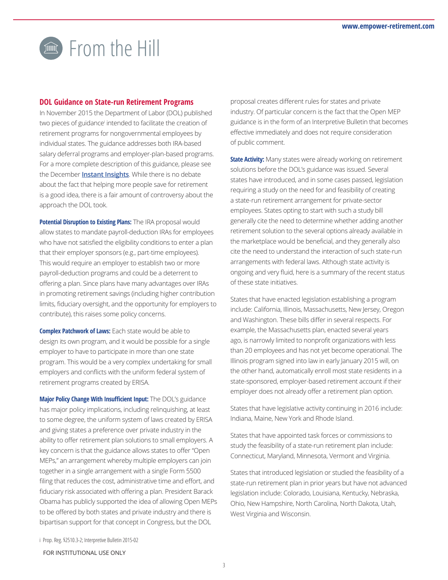## **From the Hill**

#### **DOL Guidance on State-run Retirement Programs**

In November 2015 the Department of Labor (DOL) published two pieces of guidance<sup>i</sup> intended to facilitate the creation of retirement programs for nongovernmental employees by individual states. The guidance addresses both IRA-based salary deferral programs and employer-plan-based programs. For a more complete description of this guidance, please see the December **[Instant Insights](https://dcprovider.com/PDF/Empower_Email/1512.pdf)**. While there is no debate about the fact that helping more people save for retirement is a good idea, there is a fair amount of controversy about the approach the DOL took.

**Potential Disruption to Existing Plans:** The IRA proposal would allow states to mandate payroll-deduction IRAs for employees who have not satisfied the eligibility conditions to enter a plan that their employer sponsors (e.g., part-time employees). This would require an employer to establish two or more payroll-deduction programs and could be a deterrent to offering a plan. Since plans have many advantages over IRAs in promoting retirement savings (including higher contribution limits, fiduciary oversight, and the opportunity for employers to contribute), this raises some policy concerns.

**Complex Patchwork of Laws:** Each state would be able to design its own program, and it would be possible for a single employer to have to participate in more than one state program. This would be a very complex undertaking for small employers and conflicts with the uniform federal system of retirement programs created by ERISA.

**Major Policy Change With Insufficient Input:** The DOL's guidance has major policy implications, including relinquishing, at least to some degree, the uniform system of laws created by ERISA and giving states a preference over private industry in the ability to offer retirement plan solutions to small employers. A key concern is that the guidance allows states to offer "Open MEPs," an arrangement whereby multiple employers can join together in a single arrangement with a single Form 5500 filing that reduces the cost, administrative time and effort, and fiduciary risk associated with offering a plan. President Barack Obama has publicly supported the idea of allowing Open MEPs to be offered by both states and private industry and there is bipartisan support for that concept in Congress, but the DOL

proposal creates different rules for states and private industry. Of particular concern is the fact that the Open MEP guidance is in the form of an Interpretive Bulletin that becomes effective immediately and does not require consideration of public comment.

**State Activity:** Many states were already working on retirement solutions before the DOL's guidance was issued. Several states have introduced, and in some cases passed, legislation requiring a study on the need for and feasibility of creating a state-run retirement arrangement for private-sector employees. States opting to start with such a study bill generally cite the need to determine whether adding another retirement solution to the several options already available in the marketplace would be beneficial, and they generally also cite the need to understand the interaction of such state-run arrangements with federal laws. Although state activity is ongoing and very fluid, here is a summary of the recent status of these state initiatives.

States that have enacted legislation establishing a program include: California, Illinois, Massachusetts, New Jersey, Oregon and Washington. These bills differ in several respects. For example, the Massachusetts plan, enacted several years ago, is narrowly limited to nonprofit organizations with less than 20 employees and has not yet become operational. The Illinois program signed into law in early January 2015 will, on the other hand, automatically enroll most state residents in a state-sponsored, employer-based retirement account if their employer does not already offer a retirement plan option.

States that have legislative activity continuing in 2016 include: Indiana, Maine, New York and Rhode Island.

States that have appointed task forces or commissions to study the feasibility of a state-run retirement plan include: Connecticut, Maryland, Minnesota, Vermont and Virginia.

States that introduced legislation or studied the feasibility of a state-run retirement plan in prior years but have not advanced legislation include: Colorado, Louisiana, Kentucky, Nebraska, Ohio, New Hampshire, North Carolina, North Dakota, Utah, West Virginia and Wisconsin.

i Prop. Reg. §2510.3-2; Interpretive Bulletin 2015-02

#### FOR INSTITUTIONAL USE ONLY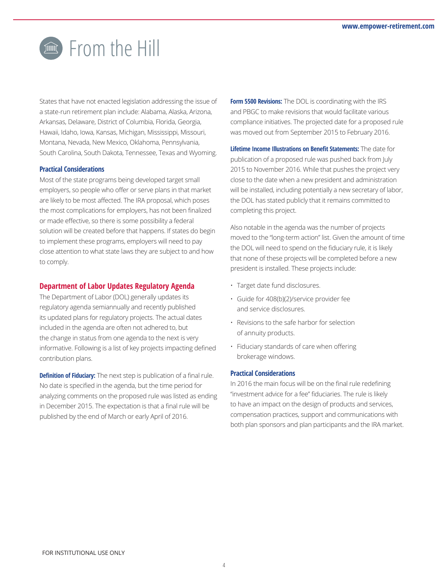## **From the Hill**

States that have not enacted legislation addressing the issue of a state-run retirement plan include: Alabama, Alaska, Arizona, Arkansas, Delaware, District of Columbia, Florida, Georgia, Hawaii, Idaho, Iowa, Kansas, Michigan, Mississippi, Missouri, Montana, Nevada, New Mexico, Oklahoma, Pennsylvania, South Carolina, South Dakota, Tennessee, Texas and Wyoming.

#### **Practical Considerations**

Most of the state programs being developed target small employers, so people who offer or serve plans in that market are likely to be most affected. The IRA proposal, which poses the most complications for employers, has not been finalized or made effective, so there is some possibility a federal solution will be created before that happens. If states do begin to implement these programs, employers will need to pay close attention to what state laws they are subject to and how to comply.

#### **Department of Labor Updates Regulatory Agenda**

The Department of Labor (DOL) generally updates its regulatory agenda semiannually and recently published its updated plans for regulatory projects. The actual dates included in the agenda are often not adhered to, but the change in status from one agenda to the next is very informative. Following is a list of key projects impacting defined contribution plans.

**Definition of Fiduciary:** The next step is publication of a final rule. No date is specified in the agenda, but the time period for analyzing comments on the proposed rule was listed as ending in December 2015. The expectation is that a final rule will be published by the end of March or early April of 2016.

**Form 5500 Revisions:** The DOL is coordinating with the IRS and PBGC to make revisions that would facilitate various compliance initiatives. The projected date for a proposed rule was moved out from September 2015 to February 2016.

**Lifetime Income Illustrations on Benefit Statements:** The date for publication of a proposed rule was pushed back from July 2015 to November 2016. While that pushes the project very close to the date when a new president and administration will be installed, including potentially a new secretary of labor, the DOL has stated publicly that it remains committed to completing this project.

Also notable in the agenda was the number of projects moved to the "long-term action" list. Given the amount of time the DOL will need to spend on the fiduciary rule, it is likely that none of these projects will be completed before a new president is installed. These projects include:

- Target date fund disclosures.
- Guide for 408(b)(2)/service provider fee and service disclosures.
- Revisions to the safe harbor for selection of annuity products.
- Fiduciary standards of care when offering brokerage windows.

#### **Practical Considerations**

In 2016 the main focus will be on the final rule redefining "investment advice for a fee" fiduciaries. The rule is likely to have an impact on the design of products and services, compensation practices, support and communications with both plan sponsors and plan participants and the IRA market.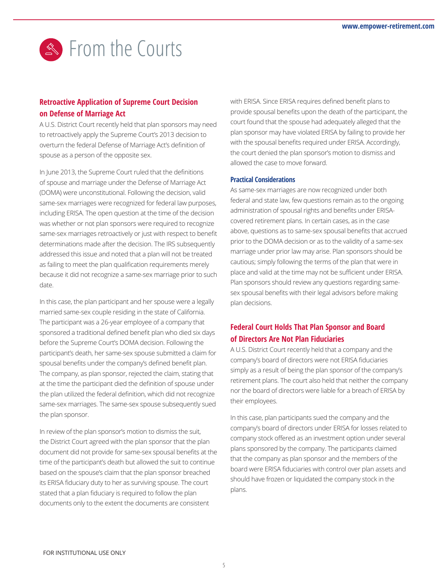

#### **Retroactive Application of Supreme Court Decision on Defense of Marriage Act**

A U.S. District Court recently held that plan sponsors may need to retroactively apply the Supreme Court's 2013 decision to overturn the federal Defense of Marriage Act's definition of spouse as a person of the opposite sex.

In June 2013, the Supreme Court ruled that the definitions of spouse and marriage under the Defense of Marriage Act (DOMA) were unconstitutional. Following the decision, valid same-sex marriages were recognized for federal law purposes, including ERISA. The open question at the time of the decision was whether or not plan sponsors were required to recognize same-sex marriages retroactively or just with respect to benefit determinations made after the decision. The IRS subsequently addressed this issue and noted that a plan will not be treated as failing to meet the plan qualification requirements merely because it did not recognize a same-sex marriage prior to such date.

In this case, the plan participant and her spouse were a legally married same-sex couple residing in the state of California. The participant was a 26-year employee of a company that sponsored a traditional defined benefit plan who died six days before the Supreme Court's DOMA decision. Following the participant's death, her same-sex spouse submitted a claim for spousal benefits under the company's defined benefit plan. The company, as plan sponsor, rejected the claim, stating that at the time the participant died the definition of spouse under the plan utilized the federal definition, which did not recognize same-sex marriages. The same-sex spouse subsequently sued the plan sponsor.

In review of the plan sponsor's motion to dismiss the suit, the District Court agreed with the plan sponsor that the plan document did not provide for same-sex spousal benefits at the time of the participant's death but allowed the suit to continue based on the spouse's claim that the plan sponsor breached its ERISA fiduciary duty to her as surviving spouse. The court stated that a plan fiduciary is required to follow the plan documents only to the extent the documents are consistent

with ERISA. Since ERISA requires defined benefit plans to provide spousal benefits upon the death of the participant, the court found that the spouse had adequately alleged that the plan sponsor may have violated ERISA by failing to provide her with the spousal benefits required under ERISA. Accordingly, the court denied the plan sponsor's motion to dismiss and allowed the case to move forward.

#### **Practical Considerations**

As same-sex marriages are now recognized under both federal and state law, few questions remain as to the ongoing administration of spousal rights and benefits under ERISAcovered retirement plans. In certain cases, as in the case above, questions as to same-sex spousal benefits that accrued prior to the DOMA decision or as to the validity of a same-sex marriage under prior law may arise. Plan sponsors should be cautious; simply following the terms of the plan that were in place and valid at the time may not be sufficient under ERISA. Plan sponsors should review any questions regarding samesex spousal benefits with their legal advisors before making plan decisions.

#### **Federal Court Holds That Plan Sponsor and Board of Directors Are Not Plan Fiduciaries**

A U.S. District Court recently held that a company and the company's board of directors were not ERISA fiduciaries simply as a result of being the plan sponsor of the company's retirement plans. The court also held that neither the company nor the board of directors were liable for a breach of ERISA by their employees.

In this case, plan participants sued the company and the company's board of directors under ERISA for losses related to company stock offered as an investment option under several plans sponsored by the company. The participants claimed that the company as plan sponsor and the members of the board were ERISA fiduciaries with control over plan assets and should have frozen or liquidated the company stock in the plans.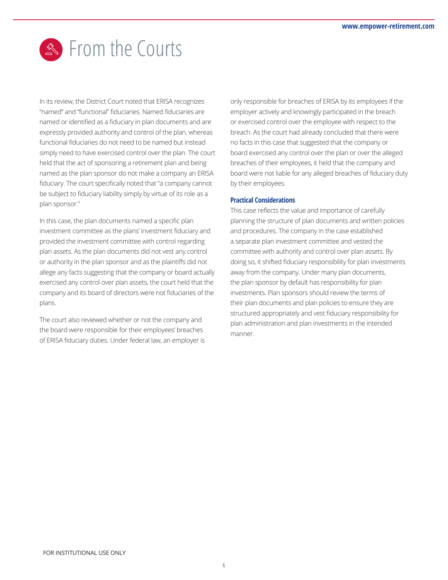## Section the Courts

In its review, the District Court noted that ERISA recognizes "named" and "functional" fiduciaries. Named fiduciaries are named or identified as a fiduciary in plan documents and are expressly provided authority and control of the plan, whereas functional fiduciaries do not need to be named but instead simply need to have exercised control over the plan. The court held that the act of sponsoring a retirement plan and being named as the plan sponsor do not make a company an ERISA fiduciary. The court specifically noted that "a company cannot be subject to fiduciary liability simply by virtue of its role as a plan sponsor."

In this case, the plan documents named a specific plan investment committee as the plans' investment fiduciary and provided the investment committee with control regarding plan assets. As the plan documents did not vest any control or authority in the plan sponsor and as the plaintiffs did not allege any facts suggesting that the company or board actually exercised any control over plan assets, the court held that the company and its board of directors were not fiduciaries of the plans.

The court also reviewed whether or not the company and the board were responsible for their employees' breaches of ERISA fiduciary duties. Under federal law, an employer is only responsible for breaches of ERISA by its employees if the employer actively and knowingly participated in the breach or exercised control over the employee with respect to the breach. As the court had already concluded that there were no facts in this case that suggested that the company or board exercised any control over the plan or over the alleged breaches of their employees, it held that the company and board were not liable for any alleged breaches of fiduciary duty by their employees.

#### **Practical Considerations**

This case reflects the value and importance of carefully planning the structure of plan documents and written policies and procedures. The company in the case established a separate plan investment committee and vested the committee with authority and control over plan assets. By doing so, it shifted fiduciary responsibility for plan investments away from the company. Under many plan documents, the plan sponsor by default has responsibility for plan investments. Plan sponsors should review the terms of their plan documents and plan policies to ensure they are structured appropriately and vest fiduciary responsibility for plan administration and plan investments in the intended manner.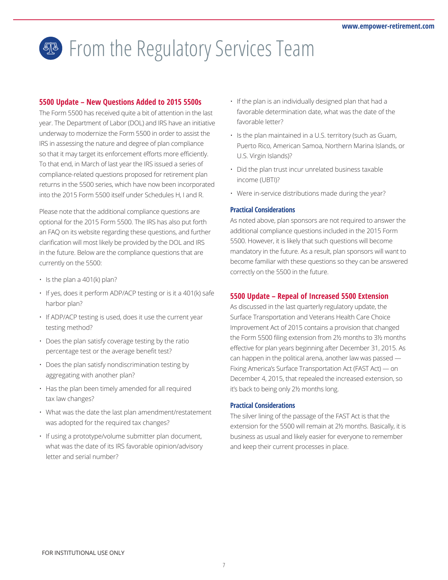## **®** From the Regulatory Services Team

#### **5500 Update – New Questions Added to 2015 5500s**

The Form 5500 has received quite a bit of attention in the last year. The Department of Labor (DOL) and IRS have an initiative underway to modernize the Form 5500 in order to assist the IRS in assessing the nature and degree of plan compliance so that it may target its enforcement efforts more efficiently. To that end, in March of last year the IRS issued a series of compliance-related questions proposed for retirement plan returns in the 5500 series, which have now been incorporated into the 2015 Form 5500 itself under Schedules H, I and R.

Please note that the additional compliance questions are optional for the 2015 Form 5500. The IRS has also put forth an FAQ on its website regarding these questions, and further clarification will most likely be provided by the DOL and IRS in the future. Below are the compliance questions that are currently on the 5500:

- $\cdot$  Is the plan a 401(k) plan?
- If yes, does it perform ADP/ACP testing or is it a 401(k) safe harbor plan?
- If ADP/ACP testing is used, does it use the current year testing method?
- Does the plan satisfy coverage testing by the ratio percentage test or the average benefit test?
- Does the plan satisfy nondiscrimination testing by aggregating with another plan?
- Has the plan been timely amended for all required tax law changes?
- What was the date the last plan amendment/restatement was adopted for the required tax changes?
- If using a prototype/volume submitter plan document, what was the date of its IRS favorable opinion/advisory letter and serial number?
- If the plan is an individually designed plan that had a favorable determination date, what was the date of the favorable letter?
- Is the plan maintained in a U.S. territory (such as Guam, Puerto Rico, American Samoa, Northern Marina Islands, or U.S. Virgin Islands)?
- Did the plan trust incur unrelated business taxable income (UBTI)?
- Were in-service distributions made during the year?

#### **Practical Considerations**

As noted above, plan sponsors are not required to answer the additional compliance questions included in the 2015 Form 5500. However, it is likely that such questions will become mandatory in the future. As a result, plan sponsors will want to become familiar with these questions so they can be answered correctly on the 5500 in the future.

#### **5500 Update – Repeal of Increased 5500 Extension**

As discussed in the last quarterly regulatory update, the Surface Transportation and Veterans Health Care Choice Improvement Act of 2015 contains a provision that changed the Form 5500 filing extension from 2½ months to 3½ months effective for plan years beginning after December 31, 2015. As can happen in the political arena, another law was passed — Fixing America's Surface Transportation Act (FAST Act) — on December 4, 2015, that repealed the increased extension, so it's back to being only 2½ months long.

#### **Practical Considerations**

The silver lining of the passage of the FAST Act is that the extension for the 5500 will remain at 2½ months. Basically, it is business as usual and likely easier for everyone to remember and keep their current processes in place.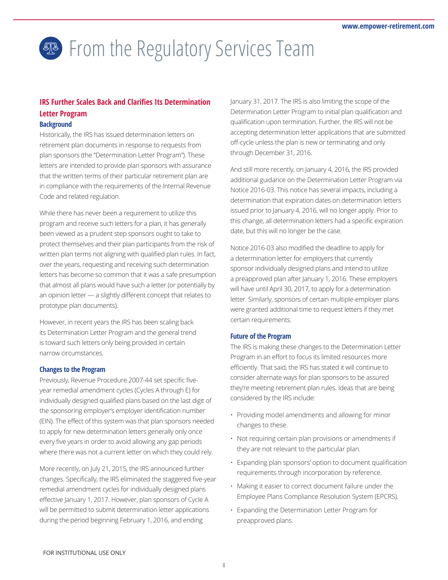# **® From the Regulatory Services Team**

#### **IRS Further Scales Back and Clarifies Its Determination Letter Program Background**

Historically, the IRS has issued determination letters on retirement plan documents in response to requests from plan sponsors (the "Determination Letter Program"). These letters are intended to provide plan sponsors with assurance that the written terms of their particular retirement plan are in compliance with the requirements of the Internal Revenue Code and related regulation.

While there has never been a requirement to utilize this program and receive such letters for a plan, it has generally been viewed as a prudent step sponsors ought to take to protect themselves and their plan participants from the risk of written plan terms not aligning with qualified plan rules. In fact, over the years, requesting and receiving such determination letters has become so common that it was a safe presumption that almost all plans would have such a letter (or potentially by an opinion letter — a slightly different concept that relates to prototype plan documents).

However, in recent years the IRS has been scaling back its Determination Letter Program and the general trend is toward such letters only being provided in certain narrow circumstances.

#### **Changes to the Program**

Previously, Revenue Procedure 2007-44 set specific fiveyear remedial amendment cycles (Cycles A through E) for individually designed qualified plans based on the last digit of the sponsoring employer's employer identification number (EIN). The effect of this system was that plan sponsors needed to apply for new determination letters generally only once every five years in order to avoid allowing any gap periods where there was not a current letter on which they could rely.

More recently, on July 21, 2015, the IRS announced further changes. Specifically, the IRS eliminated the staggered five-year remedial amendment cycles for individually designed plans effective January 1, 2017. However, plan sponsors of Cycle A will be permitted to submit determination letter applications during the period beginning February 1, 2016, and ending

January 31, 2017. The IRS is also limiting the scope of the Determination Letter Program to initial plan qualification and qualification upon termination. Further, the IRS will not be accepting determination letter applications that are submitted off-cycle unless the plan is new or terminating and only through December 31, 2016.

And still more recently, on January 4, 2016, the IRS provided additional guidance on the Determination Letter Program via Notice 2016-03. This notice has several impacts, including a determination that expiration dates on determination letters issued prior to January 4, 2016, will no longer apply. Prior to this change, all determination letters had a specific expiration date, but this will no longer be the case.

Notice 2016-03 also modified the deadline to apply for a determination letter for employers that currently sponsor individually designed plans and intend to utilize a preapproved plan after January 1, 2016. These employers will have until April 30, 2017, to apply for a determination letter. Similarly, sponsors of certain multiple-employer plans were granted additional time to request letters if they met certain requirements.

#### **Future of the Program**

The IRS is making these changes to the Determination Letter Program in an effort to focus its limited resources more efficiently. That said, the IRS has stated it will continue to consider alternate ways for plan sponsors to be assured they're meeting retirement plan rules. Ideas that are being considered by the IRS include:

- Providing model amendments and allowing for minor changes to these.
- Not requiring certain plan provisions or amendments if they are not relevant to the particular plan.
- Expanding plan sponsors' option to document qualification requirements through incorporation by reference.
- Making it easier to correct document failure under the Employee Plans Compliance Resolution System (EPCRS).
- Expanding the Determination Letter Program for preapproved plans.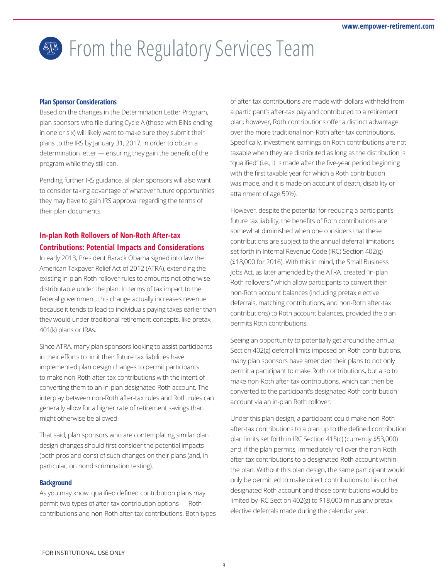## **®** From the Regulatory Services Team

#### **Plan Sponsor Considerations**

Based on the changes in the Determination Letter Program, plan sponsors who file during Cycle A (those with EINs ending in one or six) will likely want to make sure they submit their plans to the IRS by January 31, 2017, in order to obtain a determination letter — ensuring they gain the benefit of the program while they still can.

Pending further IRS guidance, all plan sponsors will also want to consider taking advantage of whatever future opportunities they may have to gain IRS approval regarding the terms of their plan documents.

#### **In-plan Roth Rollovers of Non-Roth After-tax Contributions: Potential Impacts and Considerations**

In early 2013, President Barack Obama signed into law the American Taxpayer Relief Act of 2012 (ATRA), extending the existing in-plan Roth rollover rules to amounts not otherwise distributable under the plan. In terms of tax impact to the federal government, this change actually increases revenue because it tends to lead to individuals paying taxes earlier than they would under traditional retirement concepts, like pretax 401(k) plans or IRAs.

Since ATRA, many plan sponsors looking to assist participants in their efforts to limit their future tax liabilities have implemented plan design changes to permit participants to make non-Roth after-tax contributions with the intent of converting them to an in-plan designated Roth account. The interplay between non-Roth after-tax rules and Roth rules can generally allow for a higher rate of retirement savings than might otherwise be allowed.

That said, plan sponsors who are contemplating similar plan design changes should first consider the potential impacts (both pros and cons) of such changes on their plans (and, in particular, on nondiscrimination testing).

#### **Background**

As you may know, qualified defined contribution plans may permit two types of after-tax contribution options — Roth contributions and non-Roth after-tax contributions. Both types of after-tax contributions are made with dollars withheld from a participant's after-tax pay and contributed to a retirement plan; however, Roth contributions offer a distinct advantage over the more traditional non-Roth after-tax contributions. Specifically, investment earnings on Roth contributions are not taxable when they are distributed as long as the distribution is "qualified" (i.e., it is made after the five-year period beginning with the first taxable year for which a Roth contribution was made, and it is made on account of death, disability or attainment of age 59½).

However, despite the potential for reducing a participant's future tax liability, the benefits of Roth contributions are somewhat diminished when one considers that these contributions are subject to the annual deferral limitations set forth in Internal Revenue Code (IRC) Section 402(g) (\$18,000 for 2016). With this in mind, the Small Business Jobs Act, as later amended by the ATRA, created "in-plan Roth rollovers," which allow participants to convert their non-Roth account balances (including pretax elective deferrals, matching contributions, and non-Roth after-tax contributions) to Roth account balances, provided the plan permits Roth contributions.

Seeing an opportunity to potentially get around the annual Section 402(g) deferral limits imposed on Roth contributions, many plan sponsors have amended their plans to not only permit a participant to make Roth contributions, but also to make non-Roth after-tax contributions, which can then be converted to the participant's designated Roth contribution account via an in-plan Roth rollover.

Under this plan design, a participant could make non-Roth after-tax contributions to a plan up to the defined contribution plan limits set forth in IRC Section 415(c) (currently \$53,000) and, if the plan permits, immediately roll over the non-Roth after-tax contributions to a designated Roth account within the plan. Without this plan design, the same participant would only be permitted to make direct contributions to his or her designated Roth account and those contributions would be limited by IRC Section 402(g) to \$18,000 minus any pretax elective deferrals made during the calendar year.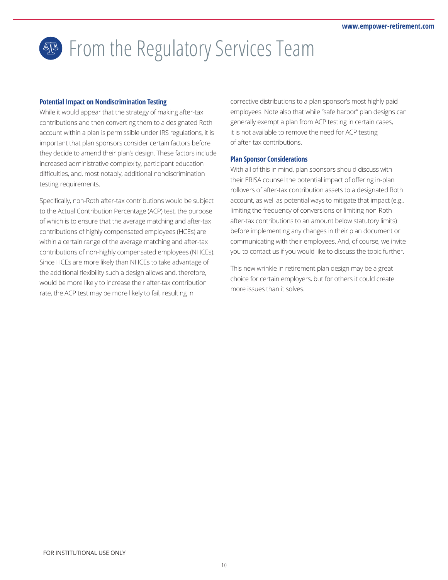## **A** From the Regulatory Services Team

#### **Potential Impact on Nondiscrimination Testing**

While it would appear that the strategy of making after-tax contributions and then converting them to a designated Roth account within a plan is permissible under IRS regulations, it is important that plan sponsors consider certain factors before they decide to amend their plan's design. These factors include increased administrative complexity, participant education difficulties, and, most notably, additional nondiscrimination testing requirements.

Specifically, non-Roth after-tax contributions would be subject to the Actual Contribution Percentage (ACP) test, the purpose of which is to ensure that the average matching and after-tax contributions of highly compensated employees (HCEs) are within a certain range of the average matching and after-tax contributions of non-highly compensated employees (NHCEs). Since HCEs are more likely than NHCEs to take advantage of the additional flexibility such a design allows and, therefore, would be more likely to increase their after-tax contribution rate, the ACP test may be more likely to fail, resulting in

corrective distributions to a plan sponsor's most highly paid employees. Note also that while "safe harbor" plan designs can generally exempt a plan from ACP testing in certain cases, it is not available to remove the need for ACP testing of after-tax contributions.

#### **Plan Sponsor Considerations**

With all of this in mind, plan sponsors should discuss with their ERISA counsel the potential impact of offering in-plan rollovers of after-tax contribution assets to a designated Roth account, as well as potential ways to mitigate that impact (e.g., limiting the frequency of conversions or limiting non-Roth after-tax contributions to an amount below statutory limits) before implementing any changes in their plan document or communicating with their employees. And, of course, we invite you to contact us if you would like to discuss the topic further.

This new wrinkle in retirement plan design may be a great choice for certain employers, but for others it could create more issues than it solves.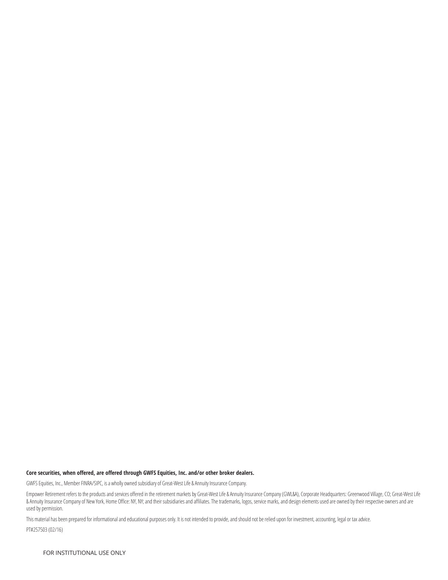#### **Core securities, when offered, are offered through GWFS Equities, Inc. and/or other broker dealers.**

GWFS Equities, Inc., Member FINRA/SIPC, is a wholly owned subsidiary of Great-West Life & Annuity Insurance Company.

Empower Retirement refers to the products and services offered in the retirement markets by Great-West Life & Annuity Insurance Company (GWL&A), Corporate Headquarters: Greenwood Village, CO; Great-West Life & Annuity Insurance Company of New York, Home Office: NY, NY; and their subsidiaries and affiliates. The trademarks, logos, service marks, and design elements used are owned by their respective owners and are used by permission.

This material has been prepared for informational and educational purposes only. It is not intended to provide, and should not be relied upon for investment, accounting, legal or tax advice.

PT#257503 (02/16)